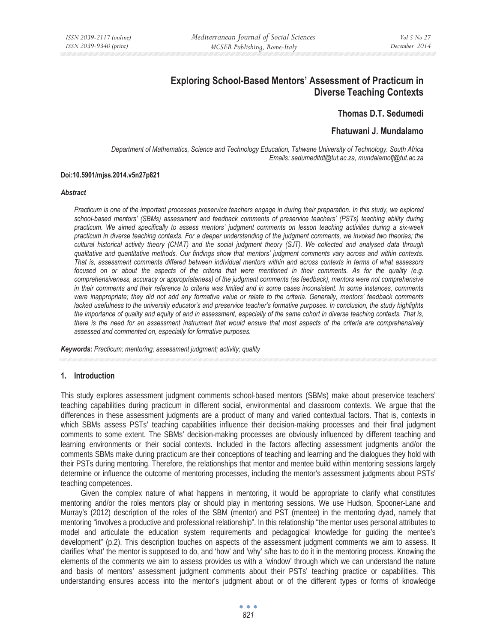# **Exploring School-Based Mentors' Assessment of Practicum in Diverse Teaching Contexts**

**Thomas D.T. Sedumedi** 

# **Fhatuwani J. Mundalamo**

*Department of Mathematics, Science and Technology Education, Tshwane University of Technology. South Africa Emails: sedumeditdt@tut.ac.za, mundalamofj@tut.ac.za* 

#### **Doi:10.5901/mjss.2014.v5n27p821**

#### *Abstract*

*Practicum is one of the important processes preservice teachers engage in during their preparation. In this study, we explored*  school-based mentors' (SBMs) assessment and feedback comments of preservice teachers' (PSTs) teaching ability during *practicum. We aimed specifically to assess mentors' judgment comments on lesson teaching activities during a six-week practicum in diverse teaching contexts. For a deeper understanding of the judgment comments, we invoked two theories; the cultural historical activity theory (CHAT) and the social judgment theory (SJT). We collected and analysed data through qualitative and quantitative methods. Our findings show that mentors' judgment comments vary across and within contexts. That is, assessment comments differed between individual mentors within and across contexts in terms of what assessors focused on or about the aspects of the criteria that were mentioned in their comments. As for the quality (e.g. comprehensiveness, accuracy or appropriateness) of the judgment comments (as feedback), mentors were not comprehensive in their comments and their reference to criteria was limited and in some cases inconsistent. In some instances, comments were inappropriate; they did not add any formative value or relate to the criteria. Generally, mentors' feedback comments lacked usefulness to the university educator's and preservice teacher's formative purposes. In conclusion, the study highlights the importance of quality and equity of and in assessment, especially of the same cohort in diverse teaching contexts. That is, there is the need for an assessment instrument that would ensure that most aspects of the criteria are comprehensively assessed and commented on, especially for formative purposes.* 

*Keywords: Practicum; mentoring; assessment judgment; activity; quality*

#### **1. Introduction**

This study explores assessment judgment comments school-based mentors (SBMs) make about preservice teachers' teaching capabilities during practicum in different social, environmental and classroom contexts. We argue that the differences in these assessment judgments are a product of many and varied contextual factors. That is, contexts in which SBMs assess PSTs' teaching capabilities influence their decision-making processes and their final judgment comments to some extent. The SBMs' decision-making processes are obviously influenced by different teaching and learning environments or their social contexts. Included in the factors affecting assessment judgments and/or the comments SBMs make during practicum are their conceptions of teaching and learning and the dialogues they hold with their PSTs during mentoring. Therefore, the relationships that mentor and mentee build within mentoring sessions largely determine or influence the outcome of mentoring processes, including the mentor's assessment judgments about PSTs' teaching competences.

Given the complex nature of what happens in mentoring, it would be appropriate to clarify what constitutes mentoring and/or the roles mentors play or should play in mentoring sessions. We use Hudson, Spooner-Lane and Murray's (2012) description of the roles of the SBM (mentor) and PST (mentee) in the mentoring dyad, namely that mentoring "involves a productive and professional relationship". In this relationship "the mentor uses personal attributes to model and articulate the education system requirements and pedagogical knowledge for guiding the mentee's development" (p.2). This description touches on aspects of the assessment judgment comments we aim to assess. It clarifies 'what' the mentor is supposed to do, and 'how' and 'why' s/he has to do it in the mentoring process. Knowing the elements of the comments we aim to assess provides us with a 'window' through which we can understand the nature and basis of mentors' assessment judgment comments about their PSTs' teaching practice or capabilities. This understanding ensures access into the mentor's judgment about or of the different types or forms of knowledge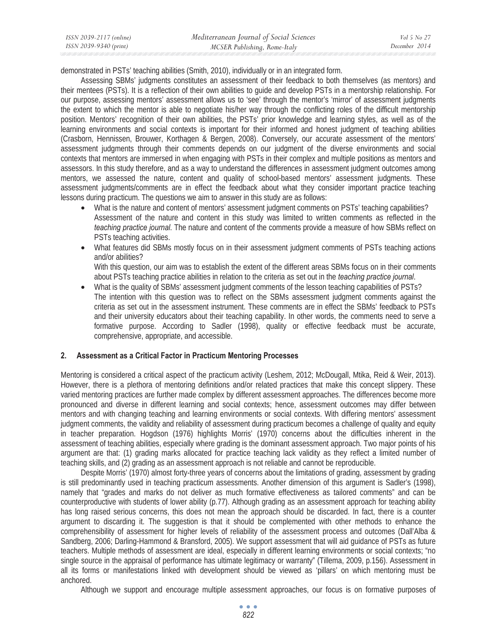demonstrated in PSTs' teaching abilities (Smith, 2010), individually or in an integrated form.

Assessing SBMs' judgments constitutes an assessment of their feedback to both themselves (as mentors) and their mentees (PSTs). It is a reflection of their own abilities to guide and develop PSTs in a mentorship relationship. For our purpose, assessing mentors' assessment allows us to 'see' through the mentor's 'mirror' of assessment judgments the extent to which the mentor is able to negotiate his/her way through the conflicting roles of the difficult mentorship position. Mentors' recognition of their own abilities, the PSTs' prior knowledge and learning styles, as well as of the learning environments and social contexts is important for their informed and honest judgment of teaching abilities (Crasborn, Hennissen, Brouwer, Korthagen & Bergen, 2008). Conversely, our accurate assessment of the mentors' assessment judgments through their comments depends on our judgment of the diverse environments and social contexts that mentors are immersed in when engaging with PSTs in their complex and multiple positions as mentors and assessors. In this study therefore, and as a way to understand the differences in assessment judgment outcomes among mentors, we assessed the nature, content and quality of school-based mentors' assessment judgments. These assessment judgments/comments are in effect the feedback about what they consider important practice teaching lessons during practicum. The questions we aim to answer in this study are as follows:

- What is the nature and content of mentors' assessment judgment comments on PSTs' teaching capabilities? Assessment of the nature and content in this study was limited to written comments as reflected in the *teaching practice journal*. The nature and content of the comments provide a measure of how SBMs reflect on PSTs teaching activities.
- What features did SBMs mostly focus on in their assessment judgment comments of PSTs teaching actions and/or abilities?

With this question, our aim was to establish the extent of the different areas SBMs focus on in their comments about PSTs teaching practice abilities in relation to the criteria as set out in the *teaching practice journal*.

• What is the quality of SBMs' assessment judgment comments of the lesson teaching capabilities of PSTs? The intention with this question was to reflect on the SBMs assessment judgment comments against the criteria as set out in the assessment instrument. These comments are in effect the SBMs' feedback to PSTs and their university educators about their teaching capability. In other words, the comments need to serve a formative purpose. According to Sadler (1998), quality or effective feedback must be accurate, comprehensive, appropriate, and accessible.

### **2. Assessment as a Critical Factor in Practicum Mentoring Processes**

Mentoring is considered a critical aspect of the practicum activity (Leshem, 2012; McDougall, Mtika, Reid & Weir, 2013). However, there is a plethora of mentoring definitions and/or related practices that make this concept slippery. These varied mentoring practices are further made complex by different assessment approaches. The differences become more pronounced and diverse in different learning and social contexts; hence, assessment outcomes may differ between mentors and with changing teaching and learning environments or social contexts. With differing mentors' assessment judgment comments, the validity and reliability of assessment during practicum becomes a challenge of quality and equity in teacher preparation. Hogdson (1976) highlights Morris' (1970) concerns about the difficulties inherent in the assessment of teaching abilities, especially where grading is the dominant assessment approach. Two major points of his argument are that: (1) grading marks allocated for practice teaching lack validity as they reflect a limited number of teaching skills, and (2) grading as an assessment approach is not reliable and cannot be reproducible.

Despite Morris' (1970) almost forty-three years of concerns about the limitations of grading, assessment by grading is still predominantly used in teaching practicum assessments. Another dimension of this argument is Sadler's (1998), namely that "grades and marks do not deliver as much formative effectiveness as tailored comments" and can be counterproductive with students of lower ability (p.77). Although grading as an assessment approach for teaching ability has long raised serious concerns, this does not mean the approach should be discarded. In fact, there is a counter argument to discarding it. The suggestion is that it should be complemented with other methods to enhance the comprehensibility of assessment for higher levels of reliability of the assessment process and outcomes (Dall'Alba & Sandberg, 2006; Darling-Hammond & Bransford, 2005). We support assessment that will aid guidance of PSTs as future teachers. Multiple methods of assessment are ideal, especially in different learning environments or social contexts; "no single source in the appraisal of performance has ultimate legitimacy or warranty" (Tillema, 2009, p.156). Assessment in all its forms or manifestations linked with development should be viewed as 'pillars' on which mentoring must be anchored.

Although we support and encourage multiple assessment approaches, our focus is on formative purposes of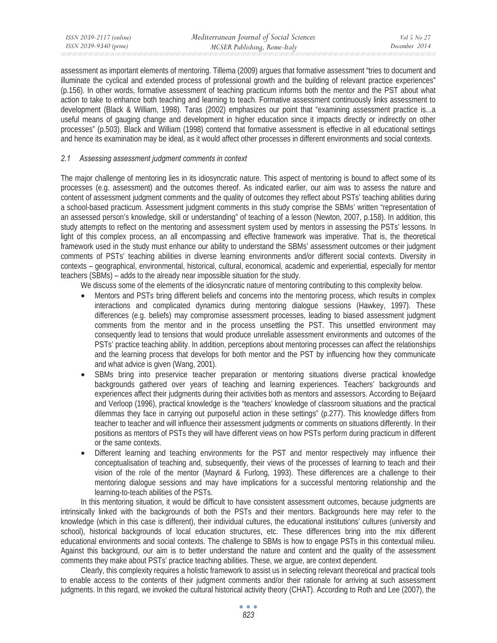| ISSN 2039-2117 (online) | Mediterranean Journal of Social Sciences | Vol 5 No 27   |
|-------------------------|------------------------------------------|---------------|
| ISSN 2039-9340 (print)  | MCSER Publishing, Rome-Italy             | December 2014 |

assessment as important elements of mentoring. Tillema (2009) argues that formative assessment "tries to document and illuminate the cyclical and extended process of professional growth and the building of relevant practice experiences" (p.156). In other words, formative assessment of teaching practicum informs both the mentor and the PST about what action to take to enhance both teaching and learning to teach. Formative assessment continuously links assessment to development (Black & William, 1998). Taras (2002) emphasizes our point that "examining assessment practice is...a useful means of gauging change and development in higher education since it impacts directly or indirectly on other processes" (p.503). Black and William (1998) contend that formative assessment is effective in all educational settings and hence its examination may be ideal, as it would affect other processes in different environments and social contexts.

## *2.1 Assessing assessment judgment comments in context*

The major challenge of mentoring lies in its idiosyncratic nature. This aspect of mentoring is bound to affect some of its processes (e.g. assessment) and the outcomes thereof. As indicated earlier, our aim was to assess the nature and content of assessment judgment comments and the quality of outcomes they reflect about PSTs' teaching abilities during a school-based practicum. Assessment judgment comments in this study comprise the SBMs' written "representation of an assessed person's knowledge, skill or understanding" of teaching of a lesson (Newton, 2007, p.158). In addition, this study attempts to reflect on the mentoring and assessment system used by mentors in assessing the PSTs' lessons. In light of this complex process, an all encompassing and effective framework was imperative. That is, the theoretical framework used in the study must enhance our ability to understand the SBMs' assessment outcomes or their judgment comments of PSTs' teaching abilities in diverse learning environments and/or different social contexts. Diversity in contexts – geographical, environmental, historical, cultural, economical, academic and experiential, especially for mentor teachers (SBMs) – adds to the already near impossible situation for the study.

We discuss some of the elements of the idiosyncratic nature of mentoring contributing to this complexity below.

- Mentors and PSTs bring different beliefs and concerns into the mentoring process, which results in complex interactions and complicated dynamics during mentoring dialogue sessions (Hawkey, 1997). These differences (e.g. beliefs) may compromise assessment processes, leading to biased assessment judgment comments from the mentor and in the process unsettling the PST. This unsettled environment may consequently lead to tensions that would produce unreliable assessment environments and outcomes of the PSTs' practice teaching ability. In addition, perceptions about mentoring processes can affect the relationships and the learning process that develops for both mentor and the PST by influencing how they communicate and what advice is given (Wang, 2001).
- SBMs bring into preservice teacher preparation or mentoring situations diverse practical knowledge backgrounds gathered over years of teaching and learning experiences. Teachers' backgrounds and experiences affect their judgments during their activities both as mentors and assessors. According to Beijaard and Verloop (1996), practical knowledge is the "teachers' knowledge of classroom situations and the practical dilemmas they face in carrying out purposeful action in these settings" (p.277). This knowledge differs from teacher to teacher and will influence their assessment judgments or comments on situations differently. In their positions as mentors of PSTs they will have different views on how PSTs perform during practicum in different or the same contexts.
- Different learning and teaching environments for the PST and mentor respectively may influence their conceptualisation of teaching and, subsequently, their views of the processes of learning to teach and their vision of the role of the mentor (Maynard & Furlong, 1993). These differences are a challenge to their mentoring dialogue sessions and may have implications for a successful mentoring relationship and the learning-to-teach abilities of the PSTs.

In this mentoring situation, it would be difficult to have consistent assessment outcomes, because judgments are intrinsically linked with the backgrounds of both the PSTs and their mentors. Backgrounds here may refer to the knowledge (which in this case is different), their individual cultures, the educational institutions' cultures (university and school), historical backgrounds of local education structures, etc. These differences bring into the mix different educational environments and social contexts. The challenge to SBMs is how to engage PSTs in this contextual milieu. Against this background, our aim is to better understand the nature and content and the quality of the assessment comments they make about PSTs' practice teaching abilities. These, we argue, are context dependent.

Clearly, this complexity requires a holistic framework to assist us in selecting relevant theoretical and practical tools to enable access to the contents of their judgment comments and/or their rationale for arriving at such assessment judgments. In this regard, we invoked the cultural historical activity theory (CHAT). According to Roth and Lee (2007), the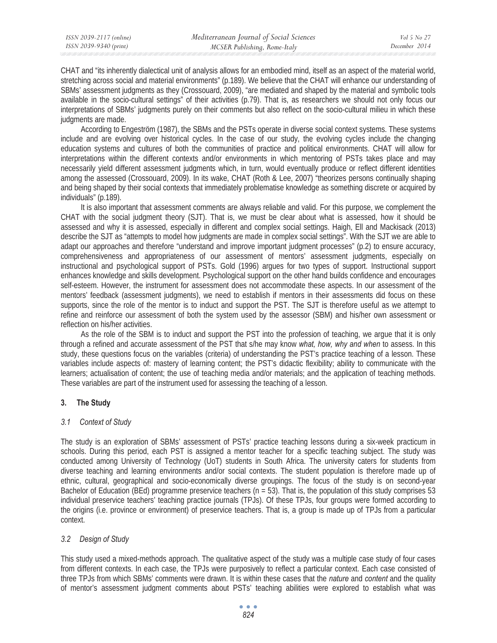CHAT and "its inherently dialectical unit of analysis allows for an embodied mind, itself as an aspect of the material world, stretching across social and material environments" (p.189). We believe that the CHAT will enhance our understanding of SBMs' assessment judgments as they (Crossouard, 2009), "are mediated and shaped by the material and symbolic tools available in the socio-cultural settings" of their activities (p.79). That is, as researchers we should not only focus our interpretations of SBMs' judgments purely on their comments but also reflect on the socio-cultural milieu in which these judgments are made.

According to Engeström (1987), the SBMs and the PSTs operate in diverse social context systems. These systems include and are evolving over historical cycles. In the case of our study, the evolving cycles include the changing education systems and cultures of both the communities of practice and political environments. CHAT will allow for interpretations within the different contexts and/or environments in which mentoring of PSTs takes place and may necessarily yield different assessment judgments which, in turn, would eventually produce or reflect different identities among the assessed (Crossouard, 2009). In its wake, CHAT (Roth & Lee, 2007) "theorizes persons continually shaping and being shaped by their social contexts that immediately problematise knowledge as something discrete or acquired by individuals" (p.189).

It is also important that assessment comments are always reliable and valid. For this purpose, we complement the CHAT with the social judgment theory (SJT). That is, we must be clear about what is assessed, how it should be assessed and why it is assessed, especially in different and complex social settings. Haigh, Ell and Mackisack (2013) describe the SJT as "attempts to model how judgments are made in complex social settings". With the SJT we are able to adapt our approaches and therefore "understand and improve important judgment processes" (p.2) to ensure accuracy, comprehensiveness and appropriateness of our assessment of mentors' assessment judgments, especially on instructional and psychological support of PSTs. Gold (1996) argues for two types of support. Instructional support enhances knowledge and skills development. Psychological support on the other hand builds confidence and encourages self-esteem. However, the instrument for assessment does not accommodate these aspects. In our assessment of the mentors' feedback (assessment judgments), we need to establish if mentors in their assessments did focus on these supports, since the role of the mentor is to induct and support the PST. The SJT is therefore useful as we attempt to refine and reinforce our assessment of both the system used by the assessor (SBM) and his/her own assessment or reflection on his/her activities.

As the role of the SBM is to induct and support the PST into the profession of teaching, we argue that it is only through a refined and accurate assessment of the PST that s/he may know *what, how, why and when* to assess. In this study, these questions focus on the variables (criteria) of understanding the PST's practice teaching of a lesson. These variables include aspects of: mastery of learning content; the PST's didactic flexibility; ability to communicate with the learners; actualisation of content; the use of teaching media and/or materials; and the application of teaching methods. These variables are part of the instrument used for assessing the teaching of a lesson.

# **3. The Study**

# *3.1 Context of Study*

The study is an exploration of SBMs' assessment of PSTs' practice teaching lessons during a six-week practicum in schools. During this period, each PST is assigned a mentor teacher for a specific teaching subject. The study was conducted among University of Technology (UoT) students in South Africa. The university caters for students from diverse teaching and learning environments and/or social contexts. The student population is therefore made up of ethnic, cultural, geographical and socio-economically diverse groupings. The focus of the study is on second-year Bachelor of Education (BEd) programme preservice teachers ( $n = 53$ ). That is, the population of this study comprises 53 individual preservice teachers' teaching practice journals (TPJs). Of these TPJs, four groups were formed according to the origins (i.e. province or environment) of preservice teachers. That is, a group is made up of TPJs from a particular context.

# *3.2 Design of Study*

This study used a mixed-methods approach. The qualitative aspect of the study was a multiple case study of four cases from different contexts. In each case, the TPJs were purposively to reflect a particular context. Each case consisted of three TPJs from which SBMs' comments were drawn. It is within these cases that the *nature* and *content* and the quality of mentor's assessment judgment comments about PSTs' teaching abilities were explored to establish what was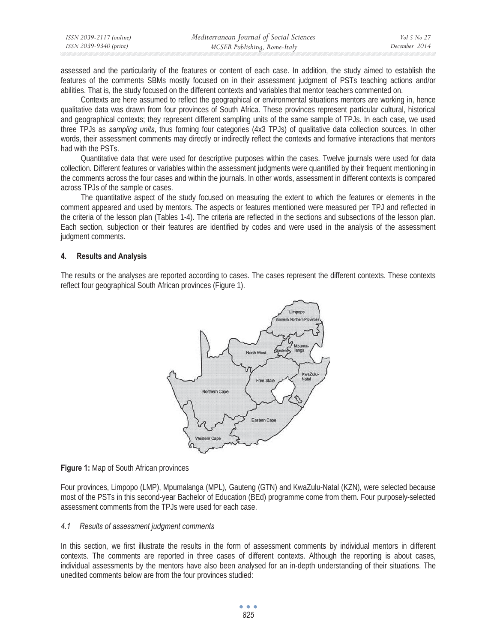| ISSN 2039-2117 (online) | Mediterranean Journal of Social Sciences | Vol 5 No 27   |
|-------------------------|------------------------------------------|---------------|
| ISSN 2039-9340 (print)  | MCSER Publishing, Rome-Italy             | December 2014 |

assessed and the particularity of the features or content of each case. In addition, the study aimed to establish the features of the comments SBMs mostly focused on in their assessment judgment of PSTs teaching actions and/or abilities. That is, the study focused on the different contexts and variables that mentor teachers commented on.

Contexts are here assumed to reflect the geographical or environmental situations mentors are working in, hence qualitative data was drawn from four provinces of South Africa. These provinces represent particular cultural, historical and geographical contexts; they represent different sampling units of the same sample of TPJs. In each case, we used three TPJs as *sampling units*, thus forming four categories (4x3 TPJs) of qualitative data collection sources. In other words, their assessment comments may directly or indirectly reflect the contexts and formative interactions that mentors had with the PSTs.

Quantitative data that were used for descriptive purposes within the cases. Twelve journals were used for data collection. Different features or variables within the assessment judgments were quantified by their frequent mentioning in the comments across the four cases and within the journals. In other words, assessment in different contexts is compared across TPJs of the sample or cases.

The quantitative aspect of the study focused on measuring the extent to which the features or elements in the comment appeared and used by mentors. The aspects or features mentioned were measured per TPJ and reflected in the criteria of the lesson plan (Tables 1-4). The criteria are reflected in the sections and subsections of the lesson plan. Each section, subjection or their features are identified by codes and were used in the analysis of the assessment judgment comments.

#### **4. Results and Analysis**

The results or the analyses are reported according to cases. The cases represent the different contexts. These contexts reflect four geographical South African provinces (Figure 1).



#### **Figure 1:** Map of South African provinces

Four provinces, Limpopo (LMP), Mpumalanga (MPL), Gauteng (GTN) and KwaZulu-Natal (KZN), were selected because most of the PSTs in this second-year Bachelor of Education (BEd) programme come from them. Four purposely-selected assessment comments from the TPJs were used for each case.

#### *4.1 Results of assessment judgment comments*

In this section, we first illustrate the results in the form of assessment comments by individual mentors in different contexts. The comments are reported in three cases of different contexts. Although the reporting is about cases, individual assessments by the mentors have also been analysed for an in-depth understanding of their situations. The unedited comments below are from the four provinces studied: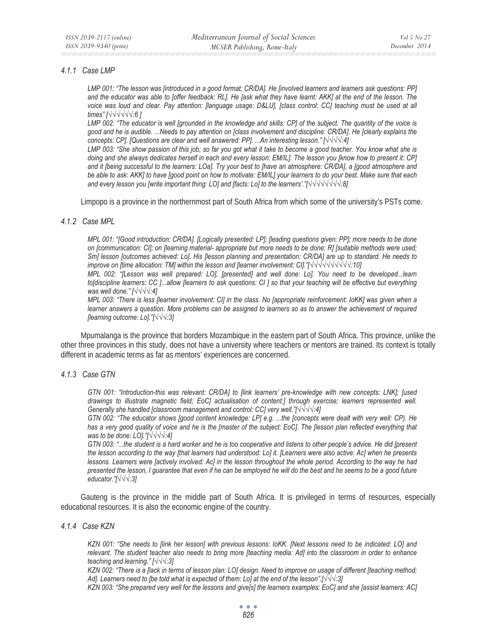### *4.1.1 Case LMP*

*LMP 001: "The lesson was [introduced in a good format; CR/DA]. He [involved learners and learners ask questions: PP] and the educator was able to [offer feedback: RL]. He [ask what they have learnt: AKK] at the end of the lesson. The*  voice was loud and clear. Pay attention: [language usage: D&LU], [class control: CC] teaching must be used at all *times" [*√√√√√*√:6 ]* 

*LMP 002: "The educator is well [grounded in the knowledge and skills: CP] of the subject. The quantity of the voice is good and he is audible. ...Needs to pay attention on [class involvement and discipline: CR/DA]. He [clearly explains the concepts: CP]. [Questions are clear and well answered: PP]. ...An interesting lesson." [√√√√:4]* 

*LMP 003: "She show passion of this job; so far you got what it take to become a good teacher. You know what she is doing and she always dedicates herself in each and every lesson: EM/IL]. The lesson you [know how to present it: CP] and it [being successful to the learners: LOa]. Try your best to [have an atmosphere: CR/DA], a [good atmosphere and be able to ask: AKK] to have [good point on how to motivate: EM/IL] your learners to do your best. Make sure that each and every lesson you [write important thing: LO] and [facts: Lo] to the learners'."[√√√√√√√√½8]* 

Limpopo is a province in the northernmost part of South Africa from which some of the university's PSTs come.

#### *4.1.2 Case MPL*

*MPL 001: "[Good introduction: CR/DA]. [Logically presented: LP]; [leading questions given: PP]; more needs to be done on [communication: CI]; on [learning material- appropriate but more needs to be done; R] [suitable methods were used; Sm] lesson [outcomes achieved: Lo]. His [lesson planning and presentation: CR/DA] are up to standard. He needs to improve on [time allocation: TM] within the lesson and [learner involvement: CI]."[√√√√√√√√√∤′:10]* 

*MPL 002: "[Lesson was well prepared: LO], [presented] and well done: Lo]. You need to be developed...learn to[discipline learners: CC ]...allow [learners to ask questions: CI ] so that your teaching will be effective but everything was well done."* [√√√√:4]

*MPL 003: "There is less [learner involvement: CI] in the class. No [appropriate reinforcement: IoKK] was given when a learner answers a question. More problems can be assigned to learners so as to answer the achievement of required flearning outcome: Lo]."[√√√:3]* 

Mpumalanga is the province that borders Mozambique in the eastern part of South Africa. This province, unlike the other three provinces in this study, does not have a university where teachers or mentors are trained. Its context is totally different in academic terms as far as mentors' experiences are concerned.

### *4.1.3 Case GTN*

*GTN 001: "Introduction-this was relevant: CR/DA] to [link learners' pre-knowledge with new concepts: LNK]; [used drawings to illustrate magnetic field; EoC] actualisation of content:] through exercise; learners represented well. Generally she handled [classroom management and control: CC] very well."[* $\sqrt{\sqrt{4}}$ */* $\frac{4}{4}$ *]* 

*GTN 002: "The educator shows [good content knowledge: LP] e.g. ...the [concepts were dealt with very well: CP). He*  has a very good quality of voice and he is the [master of the subject: EoC]. The [lesson plan reflected everything that *was to be done: LO]."[√√√√:4]* 

*GTN 003: "...the student is a hard worker and he is too cooperative and listens to other people's advice. He did [present the lesson according to the way [that learners had understood: Lo] it. [Learners were also active: Ac] when he presents lessons. Learners were [actively involved: Ac] in the lesson throughout the whole period. According to the way he had presented the lesson, I guarantee that even if he can be employed he will do the best and he seems to be a good future educator."[*√√*√:3]* 

Gauteng is the province in the middle part of South Africa. It is privileged in terms of resources, especially educational resources. It is also the economic engine of the country.

#### *4.1.4 Case KZN*

*KZN 001: "She needs to [link her lesson] with previous lessons: IoKK. [Next lessons need to be indicated: LO] and relevant. The student teacher also needs to bring more [teaching media: Ad] into the classroom in order to enhance teaching and learning.*"  $\sqrt{√$ *:3*]

*KZN 002: "There is a [lack in terms of lesson plan: LO] design. Need to improve on usage of different [teaching method: Ad]. Learners need to [be told what is expected of them: Lo] at the end of the lesson".[√√√:3]* 

*KZN 003: "She prepared very well for the lessons and give[s] the learners examples: EoC] and she [assist learners: AC]*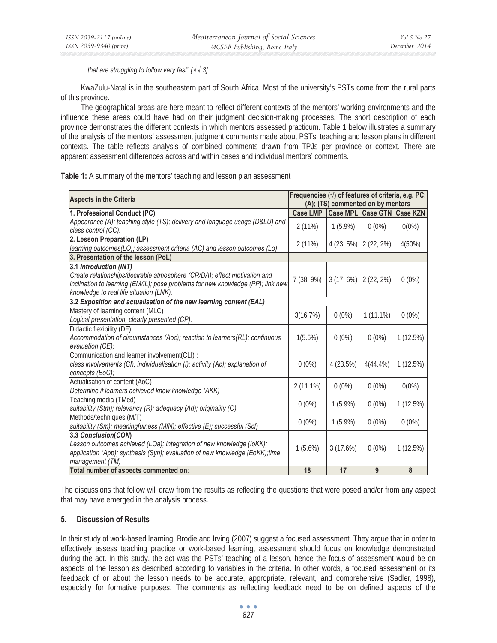*that are struggling to follow very fast".*[ $\sqrt{\sqrt{3}}$ ]

KwaZulu-Natal is in the southeastern part of South Africa. Most of the university's PSTs come from the rural parts of this province.

The geographical areas are here meant to reflect different contexts of the mentors' working environments and the influence these areas could have had on their judgment decision-making processes. The short description of each province demonstrates the different contexts in which mentors assessed practicum. Table 1 below illustrates a summary of the analysis of the mentors' assessment judgment comments made about PSTs' teaching and lesson plans in different contexts. The table reflects analysis of combined comments drawn from TPJs per province or context. There are apparent assessment differences across and within cases and individual mentors' comments.

## **Table 1:** A summary of the mentors' teaching and lesson plan assessment

| <b>Aspects in the Criteria</b>                                                  | Frequencies $(\sqrt{})$ of features of criteria, e.g. PC: | (A); (TS) commented on by mentors |                            |          |
|---------------------------------------------------------------------------------|-----------------------------------------------------------|-----------------------------------|----------------------------|----------|
| 1. Professional Conduct (PC)                                                    | <b>Case LMP</b>                                           |                                   | Case MPL Case GTN Case KZN |          |
| Appearance (A); teaching style (TS); delivery and language usage (D&LU) and     | 2(11%)                                                    | $1(5.9\%)$                        | $0(0\%)$                   | $0(0\%)$ |
| class control (CC).                                                             |                                                           |                                   |                            |          |
| 2. Lesson Preparation (LP)                                                      | 2(11%)                                                    | $4(23, 5\%)$ $2(22, 2\%)$         |                            | 4(50%)   |
| learning outcomes(LO); assessment criteria (AC) and lesson outcomes (Lo)        |                                                           |                                   |                            |          |
| 3. Presentation of the lesson (PoL)                                             |                                                           |                                   |                            |          |
| 3.1 Introduction (INT)                                                          |                                                           |                                   |                            |          |
| Create relationships/desirable atmosphere (CR/DA); effect motivation and        | 7 (38, 9%)                                                | $3(17, 6\%)$                      | $2(22, 2\%)$               | $0(0\%)$ |
| inclination to learning (EM/IL); pose problems for new knowledge (PP); link new |                                                           |                                   |                            |          |
| knowledge to real life situation (LNK).                                         |                                                           |                                   |                            |          |
| 3.2 Exposition and actualisation of the new learning content (EAL)              |                                                           |                                   |                            |          |
| Mastery of learning content (MLC)                                               | 3(16.7%)                                                  | $0(0\%)$                          | $1(11.1\%)$                | $0(0\%)$ |
| Logical presentation, clearly presented (CP).                                   |                                                           |                                   |                            |          |
| Didactic flexibility (DF)                                                       |                                                           |                                   |                            |          |
| Accommodation of circumstances (Aoc); reaction to learners(RL); continuous      | $1(5.6\%)$                                                | $0(0\%)$                          | $0(0\%)$                   | 1(12.5%) |
| evaluation (CE);                                                                |                                                           |                                   |                            |          |
| Communication and learner involvement(CLI) :                                    |                                                           |                                   |                            |          |
| class involvements (CI); individualisation (I); activity (Ac); explanation of   | $0(0\%)$                                                  | 4(23.5%)                          | $4(44.4\%)$                | 1(12.5%) |
| concepts (EoC);                                                                 |                                                           |                                   |                            |          |
| Actualisation of content (AoC)                                                  | $2(11.1\%)$                                               | $0(0\%)$                          | $0(0\%)$                   | $0(0\%)$ |
| Determine if learners achieved knew knowledge (AKK)                             |                                                           |                                   |                            |          |
| Teaching media (TMed)                                                           | $0(0\%)$                                                  | $1(5.9\%)$                        | $0(0\%)$                   | 1(12.5%) |
| suitability (Stm); relevancy (R); adequacy (Ad); originality (O)                |                                                           |                                   |                            |          |
| Methods/techniques (M/T)                                                        | $0(0\%)$                                                  | $1(5.9\%)$                        | $0(0\%)$                   | $0(0\%)$ |
| suitability (Sm); meaningfulness (MfN); effective (E); successful (Scf)         |                                                           |                                   |                            |          |
| 3.3 Conclusion(CON)                                                             |                                                           |                                   |                            |          |
| Lesson outcomes achieved (LOa); integration of new knowledge (loKK);            | $1(5.6\%)$                                                | 3(17.6%)                          | $0(0\%)$                   | 1(12.5%) |
| application (App); synthesis (Syn); evaluation of new knowledge (EoKK);time     |                                                           |                                   |                            |          |
| management (TM)                                                                 |                                                           |                                   |                            |          |
| Total number of aspects commented on:                                           | 18                                                        | 17                                | 9                          | 8        |

The discussions that follow will draw from the results as reflecting the questions that were posed and/or from any aspect that may have emerged in the analysis process.

### **5. Discussion of Results**

In their study of work-based learning, Brodie and Irving (2007) suggest a focused assessment. They argue that in order to effectively assess teaching practice or work-based learning, assessment should focus on knowledge demonstrated during the act. In this study, the act was the PSTs' teaching of a lesson, hence the focus of assessment would be on aspects of the lesson as described according to variables in the criteria. In other words, a focused assessment or its feedback of or about the lesson needs to be accurate, appropriate, relevant, and comprehensive (Sadler, 1998), especially for formative purposes. The comments as reflecting feedback need to be on defined aspects of the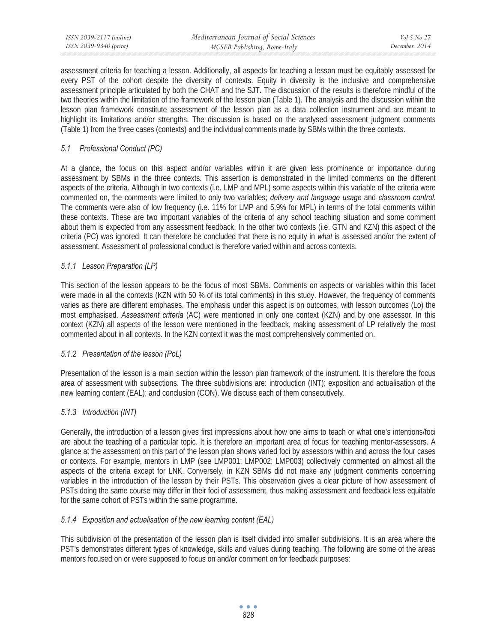| ISSN 2039-2117 (online) | Mediterranean Journal of Social Sciences | Vol 5 No 27   |
|-------------------------|------------------------------------------|---------------|
| ISSN 2039-9340 (print)  | MCSER Publishing, Rome-Italy             | December 2014 |

assessment criteria for teaching a lesson. Additionally, all aspects for teaching a lesson must be equitably assessed for every PST of the cohort despite the diversity of contexts. Equity in diversity is the inclusive and comprehensive assessment principle articulated by both the CHAT and the SJT**.** The discussion of the results is therefore mindful of the two theories within the limitation of the framework of the lesson plan (Table 1). The analysis and the discussion within the lesson plan framework constitute assessment of the lesson plan as a data collection instrument and are meant to highlight its limitations and/or strengths. The discussion is based on the analysed assessment judgment comments (Table 1) from the three cases (contexts) and the individual comments made by SBMs within the three contexts.

# *5.1 Professional Conduct (PC)*

At a glance, the focus on this aspect and/or variables within it are given less prominence or importance during assessment by SBMs in the three contexts. This assertion is demonstrated in the limited comments on the different aspects of the criteria. Although in two contexts (i.e. LMP and MPL) some aspects within this variable of the criteria were commented on, the comments were limited to only two variables; *delivery and language usage* and *classroom control.*  The comments were also of low frequency (i.e. 11% for LMP and 5.9% for MPL) in terms of the total comments within these contexts. These are two important variables of the criteria of any school teaching situation and some comment about them is expected from any assessment feedback. In the other two contexts (i.e. GTN and KZN) this aspect of the criteria (PC) was ignored. It can therefore be concluded that there is no equity in *what* is assessed and/or the extent of assessment. Assessment of professional conduct is therefore varied within and across contexts.

## *5.1.1 Lesson Preparation (LP)*

This section of the lesson appears to be the focus of most SBMs. Comments on aspects or variables within this facet were made in all the contexts (KZN with 50 % of its total comments) in this study. However, the frequency of comments varies as there are different emphases. The emphasis under this aspect is on outcomes, with lesson outcomes (Lo) the most emphasised. *Assessment criteria* (AC) were mentioned in only one context (KZN) and by one assessor. In this context (KZN) all aspects of the lesson were mentioned in the feedback, making assessment of LP relatively the most commented about in all contexts. In the KZN context it was the most comprehensively commented on.

### *5.1.2 Presentation of the lesson (PoL)*

Presentation of the lesson is a main section within the lesson plan framework of the instrument. It is therefore the focus area of assessment with subsections. The three subdivisions are: introduction (INT); exposition and actualisation of the new learning content (EAL); and conclusion (CON). We discuss each of them consecutively.

# *5.1.3 Introduction (INT)*

Generally, the introduction of a lesson gives first impressions about how one aims to teach or what one's intentions/foci are about the teaching of a particular topic. It is therefore an important area of focus for teaching mentor-assessors. A glance at the assessment on this part of the lesson plan shows varied foci by assessors within and across the four cases or contexts. For example, mentors in LMP (see LMP001; LMP002; LMP003) collectively commented on almost all the aspects of the criteria except for LNK. Conversely, in KZN SBMs did not make any judgment comments concerning variables in the introduction of the lesson by their PSTs. This observation gives a clear picture of how assessment of PSTs doing the same course may differ in their foci of assessment, thus making assessment and feedback less equitable for the same cohort of PSTs within the same programme.

### *5.1.4 Exposition and actualisation of the new learning content (EAL)*

This subdivision of the presentation of the lesson plan is itself divided into smaller subdivisions. It is an area where the PST's demonstrates different types of knowledge, skills and values during teaching. The following are some of the areas mentors focused on or were supposed to focus on and/or comment on for feedback purposes: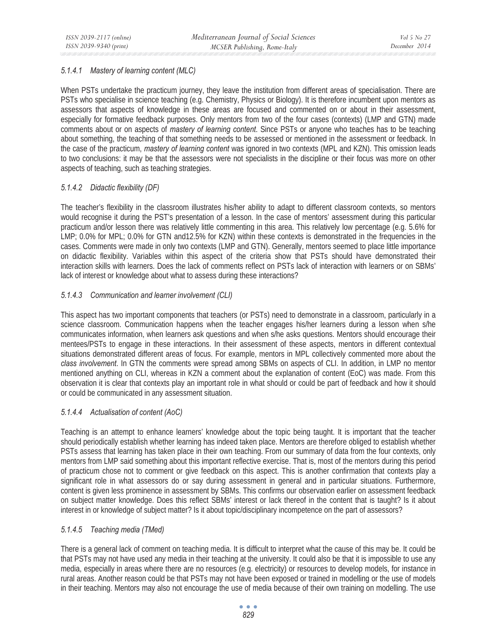# *5.1.4.1 Mastery of learning content (MLC)*

When PSTs undertake the practicum journey, they leave the institution from different areas of specialisation. There are PSTs who specialise in science teaching (e.g. Chemistry, Physics or Biology). It is therefore incumbent upon mentors as assessors that aspects of knowledge in these areas are focused and commented on or about in their assessment, especially for formative feedback purposes. Only mentors from two of the four cases (contexts) (LMP and GTN) made comments about or on aspects of *mastery of learning content*. Since PSTs or anyone who teaches has to be teaching about something, the teaching of that something needs to be assessed or mentioned in the assessment or feedback. In the case of the practicum, *mastery of learning content* was ignored in two contexts (MPL and KZN). This omission leads to two conclusions: it may be that the assessors were not specialists in the discipline or their focus was more on other aspects of teaching, such as teaching strategies.

# *5.1.4.2 Didactic flexibility (DF)*

The teacher's flexibility in the classroom illustrates his/her ability to adapt to different classroom contexts, so mentors would recognise it during the PST's presentation of a lesson. In the case of mentors' assessment during this particular practicum and/or lesson there was relatively little commenting in this area. This relatively low percentage (e.g. 5.6% for LMP; 0.0% for MPL; 0.0% for GTN and12.5% for KZN) within these contexts is demonstrated in the frequencies in the cases. Comments were made in only two contexts (LMP and GTN). Generally, mentors seemed to place little importance on didactic flexibility. Variables within this aspect of the criteria show that PSTs should have demonstrated their interaction skills with learners. Does the lack of comments reflect on PSTs lack of interaction with learners or on SBMs' lack of interest or knowledge about what to assess during these interactions?

# *5.1.4.3 Communication and learner involvement (CLI)*

This aspect has two important components that teachers (or PSTs) need to demonstrate in a classroom, particularly in a science classroom. Communication happens when the teacher engages his/her learners during a lesson when s/he communicates information, when learners ask questions and when s/he asks questions. Mentors should encourage their mentees/PSTs to engage in these interactions. In their assessment of these aspects, mentors in different contextual situations demonstrated different areas of focus. For example, mentors in MPL collectively commented more about the *class involvement*. In GTN the comments were spread among SBMs on aspects of CLI. In addition, in LMP no mentor mentioned anything on CLI, whereas in KZN a comment about the explanation of content (EoC) was made. From this observation it is clear that contexts play an important role in what should or could be part of feedback and how it should or could be communicated in any assessment situation.

# *5.1.4.4 Actualisation of content (AoC)*

Teaching is an attempt to enhance learners' knowledge about the topic being taught. It is important that the teacher should periodically establish whether learning has indeed taken place. Mentors are therefore obliged to establish whether PSTs assess that learning has taken place in their own teaching. From our summary of data from the four contexts, only mentors from LMP said something about this important reflective exercise. That is, most of the mentors during this period of practicum chose not to comment or give feedback on this aspect. This is another confirmation that contexts play a significant role in what assessors do or say during assessment in general and in particular situations. Furthermore, content is given less prominence in assessment by SBMs. This confirms our observation earlier on assessment feedback on subject matter knowledge. Does this reflect SBMs' interest or lack thereof in the content that is taught? Is it about interest in or knowledge of subject matter? Is it about topic/disciplinary incompetence on the part of assessors?

# *5.1.4.5 Teaching media (TMed)*

There is a general lack of comment on teaching media. It is difficult to interpret what the cause of this may be. It could be that PSTs may not have used any media in their teaching at the university. It could also be that it is impossible to use any media, especially in areas where there are no resources (e.g. electricity) or resources to develop models, for instance in rural areas. Another reason could be that PSTs may not have been exposed or trained in modelling or the use of models in their teaching. Mentors may also not encourage the use of media because of their own training on modelling. The use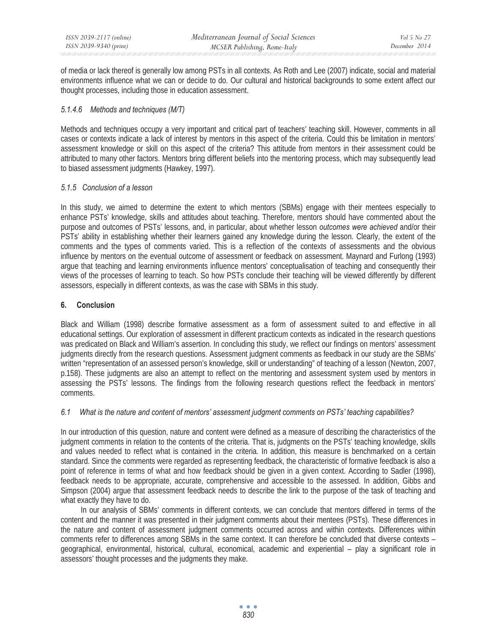of media or lack thereof is generally low among PSTs in all contexts. As Roth and Lee (2007) indicate, social and material environments influence what we can or decide to do. Our cultural and historical backgrounds to some extent affect our thought processes, including those in education assessment.

# *5.1.4.6 Methods and techniques (M/T)*

Methods and techniques occupy a very important and critical part of teachers' teaching skill. However, comments in all cases or contexts indicate a lack of interest by mentors in this aspect of the criteria. Could this be limitation in mentors' assessment knowledge or skill on this aspect of the criteria? This attitude from mentors in their assessment could be attributed to many other factors. Mentors bring different beliefs into the mentoring process, which may subsequently lead to biased assessment judgments (Hawkey, 1997).

## *5.1.5 Conclusion of a lesson*

In this study, we aimed to determine the extent to which mentors (SBMs) engage with their mentees especially to enhance PSTs' knowledge, skills and attitudes about teaching. Therefore, mentors should have commented about the purpose and outcomes of PSTs' lessons, and, in particular, about whether lesson *outcomes were achieved* and/or their PSTs' ability in establishing whether their learners gained any knowledge during the lesson. Clearly, the extent of the comments and the types of comments varied. This is a reflection of the contexts of assessments and the obvious influence by mentors on the eventual outcome of assessment or feedback on assessment. Maynard and Furlong (1993) argue that teaching and learning environments influence mentors' conceptualisation of teaching and consequently their views of the processes of learning to teach. So how PSTs conclude their teaching will be viewed differently by different assessors, especially in different contexts, as was the case with SBMs in this study.

## **6. Conclusion**

Black and William (1998) describe formative assessment as a form of assessment suited to and effective in all educational settings. Our exploration of assessment in different practicum contexts as indicated in the research questions was predicated on Black and William's assertion. In concluding this study, we reflect our findings on mentors' assessment judgments directly from the research questions. Assessment judgment comments as feedback in our study are the SBMs' written "representation of an assessed person's knowledge, skill or understanding" of teaching of a lesson (Newton, 2007, p.158). These judgments are also an attempt to reflect on the mentoring and assessment system used by mentors in assessing the PSTs' lessons. The findings from the following research questions reflect the feedback in mentors' comments.

# *6.1 What is the nature and content of mentors' assessment judgment comments on PSTs' teaching capabilities?*

In our introduction of this question, nature and content were defined as a measure of describing the characteristics of the judgment comments in relation to the contents of the criteria. That is, judgments on the PSTs' teaching knowledge, skills and values needed to reflect what is contained in the criteria. In addition, this measure is benchmarked on a certain standard. Since the comments were regarded as representing feedback, the characteristic of formative feedback is also a point of reference in terms of what and how feedback should be given in a given context. According to Sadler (1998), feedback needs to be appropriate, accurate, comprehensive and accessible to the assessed. In addition, Gibbs and Simpson (2004) argue that assessment feedback needs to describe the link to the purpose of the task of teaching and what exactly they have to do.

In our analysis of SBMs' comments in different contexts, we can conclude that mentors differed in terms of the content and the manner it was presented in their judgment comments about their mentees (PSTs). These differences in the nature and content of assessment judgment comments occurred across and within contexts. Differences within comments refer to differences among SBMs in the same context. It can therefore be concluded that diverse contexts – geographical, environmental, historical, cultural, economical, academic and experiential – play a significant role in assessors' thought processes and the judgments they make.

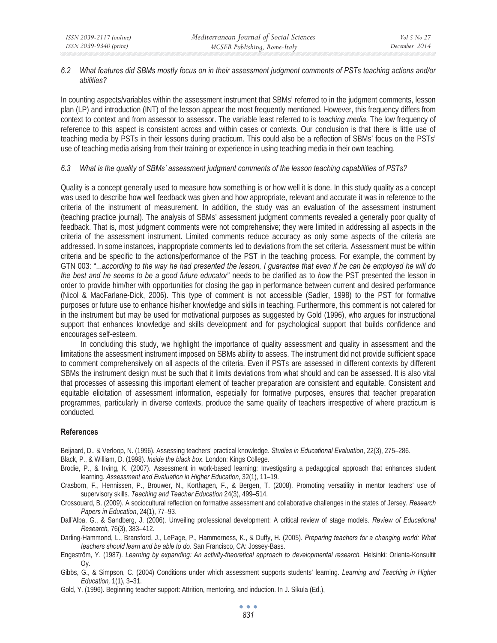### *6.2 What features did SBMs mostly focus on in their assessment judgment comments of PSTs teaching actions and/or abilities?*

In counting aspects/variables within the assessment instrument that SBMs' referred to in the judgment comments, lesson plan (LP) and introduction (INT) of the lesson appear the most frequently mentioned. However, this frequency differs from context to context and from assessor to assessor. The variable least referred to is *teaching media*. The low frequency of reference to this aspect is consistent across and within cases or contexts. Our conclusion is that there is little use of teaching media by PSTs in their lessons during practicum. This could also be a reflection of SBMs' focus on the PSTs' use of teaching media arising from their training or experience in using teaching media in their own teaching.

## *6.3 What is the quality of SBMs' assessment judgment comments of the lesson teaching capabilities of PSTs?*

Quality is a concept generally used to measure how something is or how well it is done. In this study quality as a concept was used to describe how well feedback was given and how appropriate, relevant and accurate it was in reference to the criteria of the instrument of measurement. In addition, the study was an evaluation of the assessment instrument (teaching practice journal). The analysis of SBMs' assessment judgment comments revealed a generally poor quality of feedback. That is, most judgment comments were not comprehensive; they were limited in addressing all aspects in the criteria of the assessment instrument. Limited comments reduce accuracy as only some aspects of the criteria are addressed. In some instances, inappropriate comments led to deviations from the set criteria. Assessment must be within criteria and be specific to the actions/performance of the PST in the teaching process. For example, the comment by GTN 003: "...a*ccording to the way he had presented the lesson, I guarantee that even if he can be employed he will do the best and he seems to be a good future educator*" needs to be clarified as to *how* the PST presented the lesson in order to provide him/her with opportunities for closing the gap in performance between current and desired performance (Nicol & MacFarlane-Dick, 2006). This type of comment is not accessible (Sadler, 1998) to the PST for formative purposes or future use to enhance his/her knowledge and skills in teaching. Furthermore, this comment is not catered for in the instrument but may be used for motivational purposes as suggested by Gold (1996), who argues for instructional support that enhances knowledge and skills development and for psychological support that builds confidence and encourages self-esteem.

In concluding this study, we highlight the importance of quality assessment and quality in assessment and the limitations the assessment instrument imposed on SBMs ability to assess. The instrument did not provide sufficient space to comment comprehensively on all aspects of the criteria. Even if PSTs are assessed in different contexts by different SBMs the instrument design must be such that it limits deviations from what should and can be assessed. It is also vital that processes of assessing this important element of teacher preparation are consistent and equitable. Consistent and equitable elicitation of assessment information, especially for formative purposes, ensures that teacher preparation programmes, particularly in diverse contexts, produce the same quality of teachers irrespective of where practicum is conducted.

### **References**

Beijaard, D., & Verloop, N. (1996). Assessing teachers' practical knowledge. *Studies in Educational Evaluation*, 22(3), 275–286.

Black, P., & William, D. (1998). *Inside the black box*. London: Kings College.

- Brodie, P., & Irving, K. (2007). Assessment in work-based learning: Investigating a pedagogical approach that enhances student learning. *Assessment and Evaluation in Higher Education*, 32(1), 11–19.
- Crasborn, F., Hennissen, P., Brouwer, N., Korthagen, F., & Bergen, T. (2008). Promoting versatility in mentor teachers' use of supervisory skills. *Teaching and Teacher Education* 24(3), 499–514.
- Crossouard, B. (2009). A sociocultural reflection on formative assessment and collaborative challenges in the states of Jersey. *Research Papers in Education*, 24(1), 77–93.
- Dall'Alba, G., & Sandberg, J. (2006). Unveiling professional development: A critical review of stage models. *Review of Educational Research,* 76(3), 383–412.

Darling-Hammond, L., Bransford, J., LePage, P., Hammerness, K., & Duffy, H. (2005). *Preparing teachers for a changing world: What teachers should learn and be able to do*. San Francisco, CA: Jossey-Bass.

- Engeström, Y. (1987). *Learning by expanding: An activity-theoretical approach to developmental research.* Helsinki: Orienta-Konsultit Oy.
- Gibbs, G., & Simpson, C. (2004) Conditions under which assessment supports students' learning. *Learning and Teaching in Higher Education,* 1(1), 3–31.
- Gold, Y. (1996). Beginning teacher support: Attrition, mentoring, and induction. In J. Sikula (Ed.),